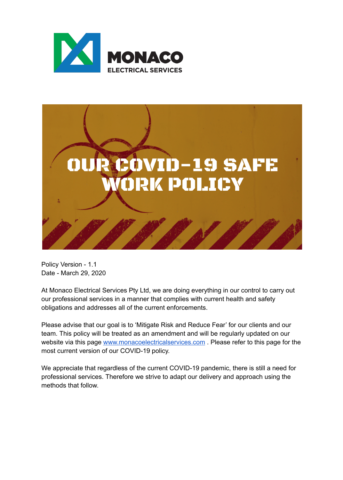



Policy Version - 1.1 Date - March 29, 2020

At Monaco Electrical Services Pty Ltd, we are doing everything in our control to carry out our professional services in a manner that complies with current health and safety obligations and addresses all of the current enforcements.

Please advise that our goal is to 'Mitigate Risk and Reduce Fear' for our clients and our team. This policy will be treated as an amendment and will be regularly updated on our website via this page www.monacoelectricalservices.com. Please refer to this page for the most current version of our COVID-19 policy.

We appreciate that regardless of the current COVID-19 pandemic, there is still a need for professional services. Therefore we strive to adapt our delivery and approach using the methods that follow.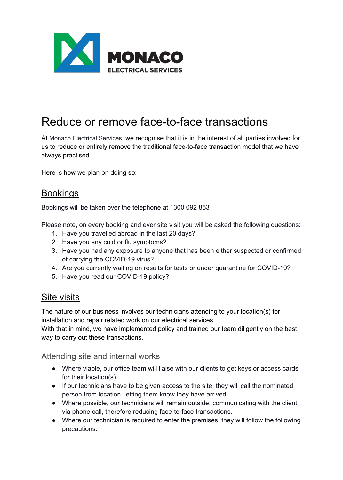![](_page_1_Picture_0.jpeg)

# Reduce or remove face-to-face transactions

At Monaco Electrical Services, we recognise that it is in the interest of all parties involved for us to reduce or entirely remove the traditional face-to-face transaction model that we have always practised.

Here is how we plan on doing so:

## **Bookings**

Bookings will be taken over the telephone at 1300 092 853

Please note, on every booking and ever site visit you will be asked the following questions:

- 1. Have you travelled abroad in the last 20 days?
- 2. Have you any cold or flu symptoms?
- 3. Have you had any exposure to anyone that has been either suspected or confirmed of carrying the COVID-19 virus?
- 4. Are you currently waiting on results for tests or under quarantine for COVID-19?
- 5. Have you read our COVID-19 policy?

## **Site visits**

The nature of our business involves our technicians attending to your location(s) for installation and repair related work on our electrical services.

With that in mind, we have implemented policy and trained our team diligently on the best way to carry out these transactions.

#### Attending site and internal works

- Where viable, our office team will liaise with our clients to get keys or access cards for their location(s).
- If our technicians have to be given access to the site, they will call the nominated person from location, letting them know they have arrived.
- Where possible, our technicians will remain outside, communicating with the client via phone call, therefore reducing face-to-face transactions.
- Where our technician is required to enter the premises, they will follow the following precautions: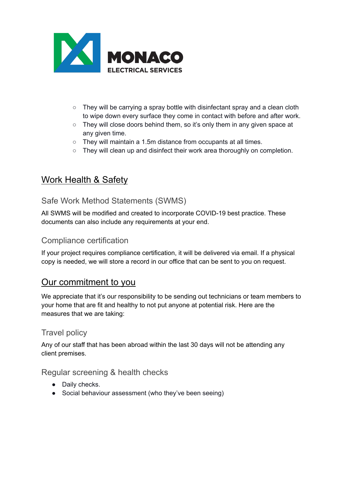![](_page_2_Picture_0.jpeg)

- They will be carrying a spray bottle with disinfectant spray and a clean cloth to wipe down every surface they come in contact with before and after work.
- They will close doors behind them, so it's only them in any given space at any given time.
- They will maintain a 1.5m distance from occupants at all times.
- They will clean up and disinfect their work area thoroughly on completion.

## Work Health & Safety

## Safe Work Method Statements (SWMS)

All SWMS will be modified and created to incorporate COVID-19 best practice. These documents can also include any requirements at your end.

#### Compliance certification

If your project requires compliance certification, it will be delivered via email. If a physical copy is needed, we will store a record in our office that can be sent to you on request.

## Our commitment to you

We appreciate that it's our responsibility to be sending out technicians or team members to your home that are fit and healthy to not put anyone at potential risk. Here are the measures that we are taking:

## Travel policy

Any of our staff that has been abroad within the last 30 days will not be attending any client premises.

## Regular screening & health checks

- Daily checks.
- Social behaviour assessment (who they've been seeing)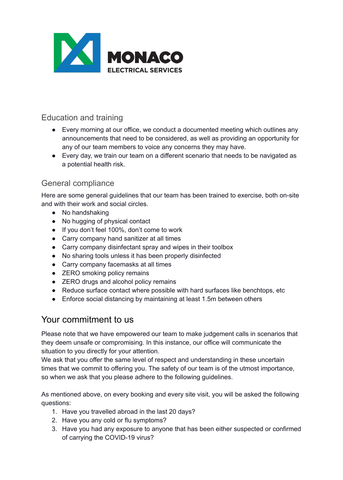![](_page_3_Picture_0.jpeg)

## Education and training

- Every morning at our office, we conduct a documented meeting which outlines any announcements that need to be considered, as well as providing an opportunity for any of our team members to voice any concerns they may have.
- Every day, we train our team on a different scenario that needs to be navigated as a potential health risk.

## General compliance

Here are some general guidelines that our team has been trained to exercise, both on-site and with their work and social circles.

- No handshaking
- No hugging of physical contact
- If you don't feel 100%, don't come to work
- Carry company hand sanitizer at all times
- Carry company disinfectant spray and wipes in their toolbox
- No sharing tools unless it has been properly disinfected
- Carry company facemasks at all times
- **ZERO** smoking policy remains
- **ZERO drugs and alcohol policy remains**
- Reduce surface contact where possible with hard surfaces like benchtops, etc
- Enforce social distancing by maintaining at least 1.5m between others

## Your commitment to us

Please note that we have empowered our team to make judgement calls in scenarios that they deem unsafe or compromising. In this instance, our office will communicate the situation to you directly for your attention.

We ask that you offer the same level of respect and understanding in these uncertain times that we commit to offering you. The safety of our team is of the utmost importance, so when we ask that you please adhere to the following guidelines.

As mentioned above, on every booking and every site visit, you will be asked the following questions:

- 1. Have you travelled abroad in the last 20 days?
- 2. Have you any cold or flu symptoms?
- 3. Have you had any exposure to anyone that has been either suspected or confirmed of carrying the COVID-19 virus?